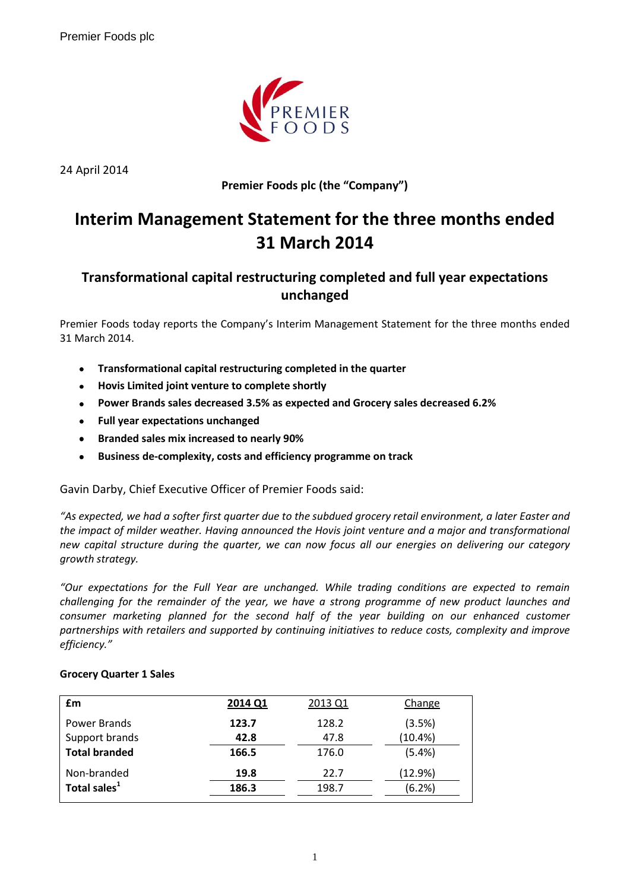

24 April 2014

**Premier Foods plc (the "Company")**

# **Interim Management Statement for the three months ended 31 March 2014**

# **Transformational capital restructuring completed and full year expectations unchanged**

Premier Foods today reports the Company's Interim Management Statement for the three months ended 31 March 2014.

- **Transformational capital restructuring completed in the quarter**  $\bullet$
- $\bullet$ **Hovis Limited joint venture to complete shortly**
- **Power Brands sales decreased 3.5% as expected and Grocery sales decreased 6.2%**  $\bullet$
- **Full year expectations unchanged**
- **Branded sales mix increased to nearly 90%**  $\bullet$
- **Business de-complexity, costs and efficiency programme on track**  $\bullet$

Gavin Darby, Chief Executive Officer of Premier Foods said:

*"As expected, we had a softer first quarter due to the subdued grocery retail environment, a later Easter and the impact of milder weather. Having announced the Hovis joint venture and a major and transformational new capital structure during the quarter, we can now focus all our energies on delivering our category growth strategy.*

*"Our expectations for the Full Year are unchanged. While trading conditions are expected to remain challenging for the remainder of the year, we have a strong programme of new product launches and consumer marketing planned for the second half of the year building on our enhanced customer partnerships with retailers and supported by continuing initiatives to reduce costs, complexity and improve efficiency."*

#### **Grocery Quarter 1 Sales**

| £m                       | 2014 Q1 | 2013 Q1 | Change  |
|--------------------------|---------|---------|---------|
| Power Brands             | 123.7   | 128.2   | (3.5%)  |
| Support brands           | 42.8    | 47.8    | (10.4%) |
| <b>Total branded</b>     | 166.5   | 176.0   | (5.4%)  |
| Non-branded              | 19.8    | 22.7    | (12.9%) |
| Total sales <sup>1</sup> | 186.3   | 198.7   | (6.2%)  |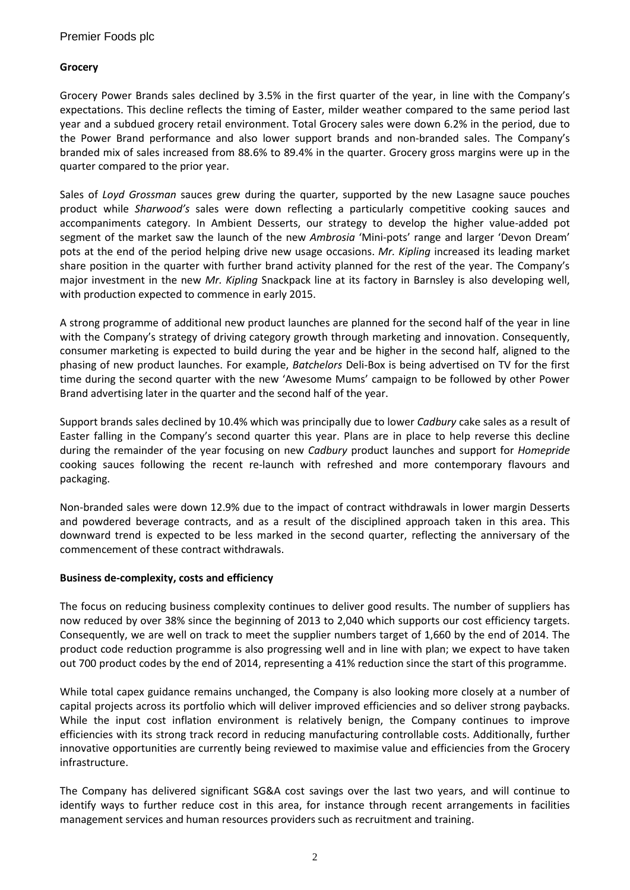# **Grocery**

Grocery Power Brands sales declined by 3.5% in the first quarter of the year, in line with the Company's expectations. This decline reflects the timing of Easter, milder weather compared to the same period last year and a subdued grocery retail environment. Total Grocery sales were down 6.2% in the period, due to the Power Brand performance and also lower support brands and non-branded sales. The Company's branded mix of sales increased from 88.6% to 89.4% in the quarter. Grocery gross margins were up in the quarter compared to the prior year.

Sales of *Loyd Grossman* sauces grew during the quarter, supported by the new Lasagne sauce pouches product while *Sharwood's* sales were down reflecting a particularly competitive cooking sauces and accompaniments category. In Ambient Desserts, our strategy to develop the higher value-added pot segment of the market saw the launch of the new *Ambrosia* 'Mini-pots' range and larger 'Devon Dream' pots at the end of the period helping drive new usage occasions. *Mr. Kipling* increased its leading market share position in the quarter with further brand activity planned for the rest of the year. The Company's major investment in the new *Mr. Kipling* Snackpack line at its factory in Barnsley is also developing well, with production expected to commence in early 2015.

A strong programme of additional new product launches are planned for the second half of the year in line with the Company's strategy of driving category growth through marketing and innovation. Consequently, consumer marketing is expected to build during the year and be higher in the second half, aligned to the phasing of new product launches. For example, *Batchelors* Deli-Box is being advertised on TV for the first time during the second quarter with the new 'Awesome Mums' campaign to be followed by other Power Brand advertising later in the quarter and the second half of the year.

Support brands sales declined by 10.4% which was principally due to lower *Cadbury* cake sales as a result of Easter falling in the Company's second quarter this year. Plans are in place to help reverse this decline during the remainder of the year focusing on new *Cadbury* product launches and support for *Homepride* cooking sauces following the recent re-launch with refreshed and more contemporary flavours and packaging.

Non-branded sales were down 12.9% due to the impact of contract withdrawals in lower margin Desserts and powdered beverage contracts, and as a result of the disciplined approach taken in this area. This downward trend is expected to be less marked in the second quarter, reflecting the anniversary of the commencement of these contract withdrawals.

#### **Business de-complexity, costs and efficiency**

The focus on reducing business complexity continues to deliver good results. The number of suppliers has now reduced by over 38% since the beginning of 2013 to 2,040 which supports our cost efficiency targets. Consequently, we are well on track to meet the supplier numbers target of 1,660 by the end of 2014. The product code reduction programme is also progressing well and in line with plan; we expect to have taken out 700 product codes by the end of 2014, representing a 41% reduction since the start of this programme.

While total capex guidance remains unchanged, the Company is also looking more closely at a number of capital projects across its portfolio which will deliver improved efficiencies and so deliver strong paybacks. While the input cost inflation environment is relatively benign, the Company continues to improve efficiencies with its strong track record in reducing manufacturing controllable costs. Additionally, further innovative opportunities are currently being reviewed to maximise value and efficiencies from the Grocery infrastructure.

The Company has delivered significant SG&A cost savings over the last two years, and will continue to identify ways to further reduce cost in this area, for instance through recent arrangements in facilities management services and human resources providers such as recruitment and training.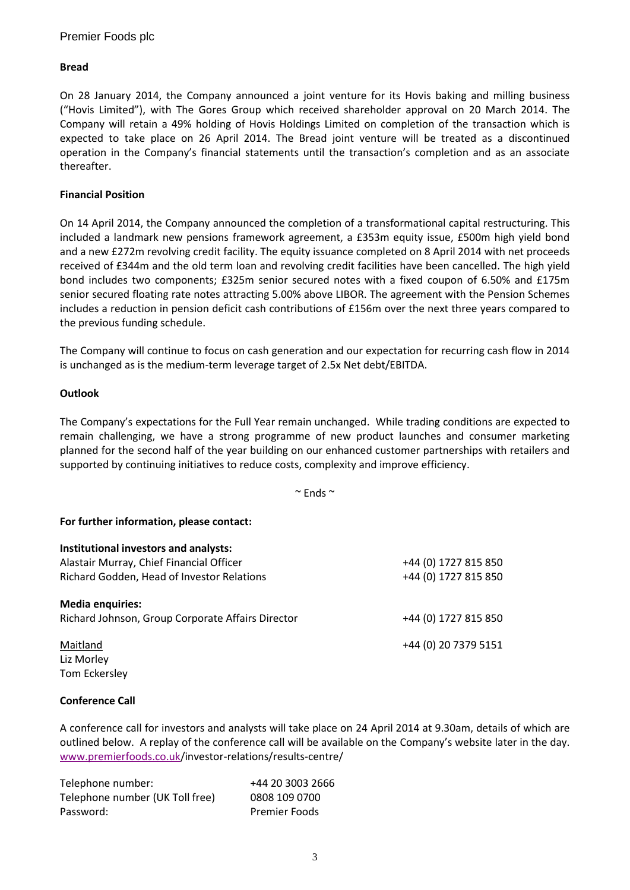# **Bread**

On 28 January 2014, the Company announced a joint venture for its Hovis baking and milling business ("Hovis Limited"), with The Gores Group which received shareholder approval on 20 March 2014. The Company will retain a 49% holding of Hovis Holdings Limited on completion of the transaction which is expected to take place on 26 April 2014. The Bread joint venture will be treated as a discontinued operation in the Company's financial statements until the transaction's completion and as an associate thereafter.

### **Financial Position**

On 14 April 2014, the Company announced the completion of a transformational capital restructuring. This included a landmark new pensions framework agreement, a £353m equity issue, £500m high yield bond and a new £272m revolving credit facility. The equity issuance completed on 8 April 2014 with net proceeds received of £344m and the old term loan and revolving credit facilities have been cancelled. The high yield bond includes two components; £325m senior secured notes with a fixed coupon of 6.50% and £175m senior secured floating rate notes attracting 5.00% above LIBOR. The agreement with the Pension Schemes includes a reduction in pension deficit cash contributions of £156m over the next three years compared to the previous funding schedule.

The Company will continue to focus on cash generation and our expectation for recurring cash flow in 2014 is unchanged as is the medium-term leverage target of 2.5x Net debt/EBITDA.

### **Outlook**

The Company's expectations for the Full Year remain unchanged. While trading conditions are expected to remain challenging, we have a strong programme of new product launches and consumer marketing planned for the second half of the year building on our enhanced customer partnerships with retailers and supported by continuing initiatives to reduce costs, complexity and improve efficiency.

 $\sim$  Ends  $\sim$ 

#### **For further information, please contact:**

| Institutional investors and analysts:             |                      |
|---------------------------------------------------|----------------------|
| Alastair Murray, Chief Financial Officer          | +44 (0) 1727 815 850 |
| Richard Godden, Head of Investor Relations        | +44 (0) 1727 815 850 |
| <b>Media enquiries:</b>                           |                      |
| Richard Johnson, Group Corporate Affairs Director | +44 (0) 1727 815 850 |
| Maitland                                          | +44 (0) 20 7379 5151 |
| Liz Morley                                        |                      |
| Tom Eckersley                                     |                      |

#### **Conference Call**

A conference call for investors and analysts will take place on 24 April 2014 at 9.30am, details of which are outlined below. A replay of the conference call will be available on the Company's website later in the day. [www.premierfoods.co.uk/](http://www.premierfoods.co.uk/)investor-relations/results-centre/

| Telephone number:               | +44 20 3003 2666     |
|---------------------------------|----------------------|
| Telephone number (UK Toll free) | 0808 109 0700        |
| Password:                       | <b>Premier Foods</b> |